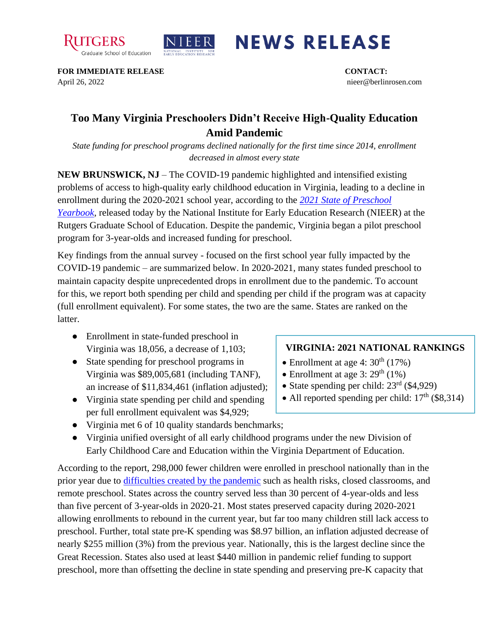



## **NEWS RELEASE**

**FOR IMMEDIATE RELEASE CONTACT:**  April 26, 2022 nieer@berlinrosen.com

## **Too Many Virginia Preschoolers Didn't Receive High-Quality Education Amid Pandemic**

*State funding for preschool programs declined nationally for the first time since 2014, enrollment decreased in almost every state*

**NEW BRUNSWICK, NJ** – The COVID-19 pandemic highlighted and intensified existing problems of access to high-quality early childhood education in Virginia, leading to a decline in enrollment during the 2020-2021 school year, according to the *[2021 State of Preschool](https://nieer.org/state-preschool-yearbooks-yearbook2021)  [Yearbook,](https://nieer.org/state-preschool-yearbooks-yearbook2021)* released today by the National Institute for Early Education Research (NIEER) at the Rutgers Graduate School of Education. Despite the pandemic, Virginia began a pilot preschool program for 3-year-olds and increased funding for preschool.

Key findings from the annual survey - focused on the first school year fully impacted by the COVID-19 pandemic – are summarized below. In 2020-2021, many states funded preschool to maintain capacity despite unprecedented drops in enrollment due to the pandemic. To account for this, we report both spending per child and spending per child if the program was at capacity (full enrollment equivalent). For some states, the two are the same. States are ranked on the latter.

- Enrollment in state-funded preschool in Virginia was 18,056, a decrease of 1,103;
- State spending for preschool programs in Virginia was \$89,005,681 (including TANF), an increase of \$11,834,461 (inflation adjusted);
- Virginia state spending per child and spending per full enrollment equivalent was \$4,929;
- Virginia met 6 of 10 quality standards benchmarks;
- Virginia unified oversight of all early childhood programs under the new Division of Early Childhood Care and Education within the Virginia Department of Education.

According to the report, 298,000 fewer children were enrolled in preschool nationally than in the prior year due to [difficulties created by the pandemic](https://nieer.org/wp-content/uploads/2021/02/NIEER_Seven_Impacts_of_the_Pandemic_on_Young_Children_and_their_Parents.pdf) such as health risks, closed classrooms, and remote preschool. States across the country served less than 30 percent of 4-year-olds and less than five percent of 3-year-olds in 2020-21. Most states preserved capacity during 2020-2021 allowing enrollments to rebound in the current year, but far too many children still lack access to preschool. Further, total state pre-K spending was \$8.97 billion, an inflation adjusted decrease of nearly \$255 million (3%) from the previous year. Nationally, this is the largest decline since the Great Recession. States also used at least \$440 million in pandemic relief funding to support preschool, more than offsetting the decline in state spending and preserving pre-K capacity that

## **VIRGINIA: 2021 NATIONAL RANKINGS**

- Enrollment at age 4:  $30<sup>th</sup>$  (17%)
- Enrollment at age 3:  $29<sup>th</sup>$  (1%)
- State spending per child:  $23<sup>rd</sup>$  (\$4,929)
- All reported spending per child:  $17<sup>th</sup>$  (\$8,314)